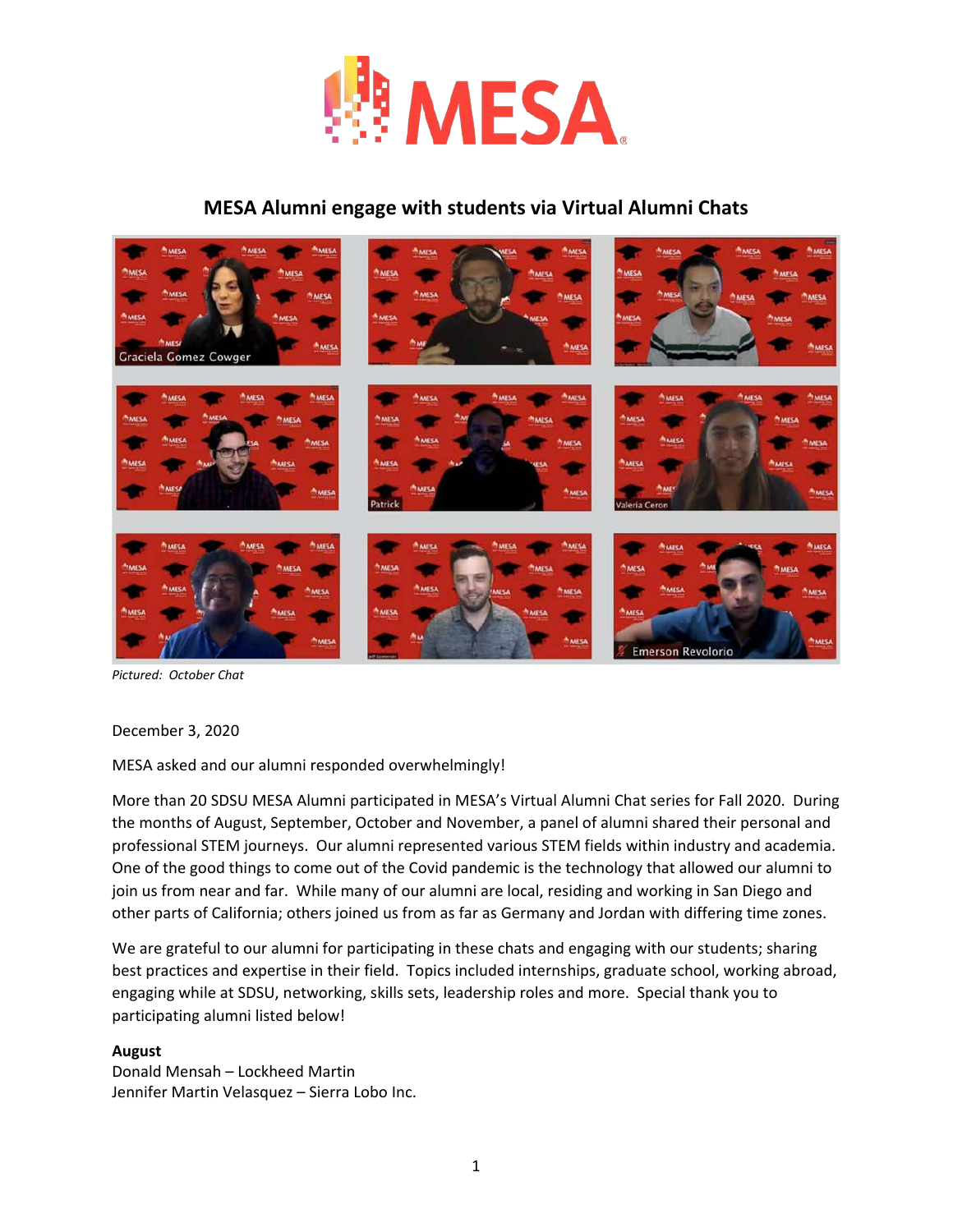

## **MESA Alumni engage with students via Virtual Alumni Chats**



*Pictured: October Chat*

December 3, 2020

MESA asked and our alumni responded overwhelmingly!

More than 20 SDSU MESA Alumni participated in MESA's Virtual Alumni Chat series for Fall 2020. During the months of August, September, October and November, a panel of alumni shared their personal and professional STEM journeys. Our alumni represented various STEM fields within industry and academia. One of the good things to come out of the Covid pandemic is the technology that allowed our alumni to join us from near and far. While many of our alumni are local, residing and working in San Diego and other parts of California; others joined us from as far as Germany and Jordan with differing time zones.

We are grateful to our alumni for participating in these chats and engaging with our students; sharing best practices and expertise in their field. Topics included internships, graduate school, working abroad, engaging while at SDSU, networking, skills sets, leadership roles and more. Special thank you to participating alumni listed below!

### **August**

Donald Mensah – Lockheed Martin Jennifer Martin Velasquez – Sierra Lobo Inc.